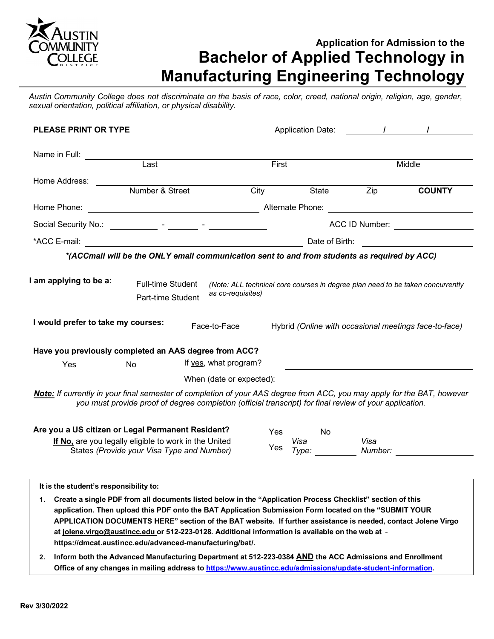

# **Application for Admission to the Bachelor of Applied Technology in Manufacturing Engineering Technology**

Austin Community College does not discriminate on the basis of race, color, creed, national origin, religion, age, gender, *sexual orientation, political affiliation, or physical disability.*

| <b>PLEASE PRINT OR TYPE</b>                                                                                             |                                               |                                                                                                         |       | Application Date: Application Date:                                                                                  |         |                                                                                                                                         |
|-------------------------------------------------------------------------------------------------------------------------|-----------------------------------------------|---------------------------------------------------------------------------------------------------------|-------|----------------------------------------------------------------------------------------------------------------------|---------|-----------------------------------------------------------------------------------------------------------------------------------------|
| Name in Full:                                                                                                           |                                               |                                                                                                         |       |                                                                                                                      |         |                                                                                                                                         |
| Last                                                                                                                    |                                               |                                                                                                         | First |                                                                                                                      |         | Middle                                                                                                                                  |
| Home Address:                                                                                                           |                                               |                                                                                                         |       |                                                                                                                      |         |                                                                                                                                         |
|                                                                                                                         | Number & Street                               |                                                                                                         | City  | State                                                                                                                | Zip     | <b>COUNTY</b>                                                                                                                           |
|                                                                                                                         |                                               |                                                                                                         |       |                                                                                                                      |         |                                                                                                                                         |
|                                                                                                                         |                                               |                                                                                                         |       |                                                                                                                      |         | ACC ID Number: __________________                                                                                                       |
|                                                                                                                         |                                               |                                                                                                         |       |                                                                                                                      |         |                                                                                                                                         |
|                                                                                                                         |                                               | *(ACCmail will be the ONLY email communication sent to and from students as required by ACC)            |       |                                                                                                                      |         |                                                                                                                                         |
| I would prefer to take my courses:                                                                                      | <b>Full-time Student</b><br>Part-time Student | as co-requisites)<br>Face-to-Face                                                                       |       |                                                                                                                      |         | (Note: ALL technical core courses in degree plan need to be taken concurrently<br>Hybrid (Online with occasional meetings face-to-face) |
| Have you previously completed an AAS degree from ACC?                                                                   |                                               |                                                                                                         |       |                                                                                                                      |         |                                                                                                                                         |
| Yes                                                                                                                     | <b>No</b>                                     | If yes, what program?                                                                                   |       |                                                                                                                      |         |                                                                                                                                         |
|                                                                                                                         |                                               | When (date or expected):                                                                                |       | <u> 1980 - Johann Stein, marwolaethau a bhann an t-Amhair ann an t-Amhair an t-Amhair an t-Amhair an t-Amhair an</u> |         |                                                                                                                                         |
| Note: If currently in your final semester of completion of your AAS degree from ACC, you may apply for the BAT, however |                                               | you must provide proof of degree completion (official transcript) for final review of your application. |       |                                                                                                                      |         |                                                                                                                                         |
| Are you a US citizen or Legal Permanent Resident?                                                                       |                                               |                                                                                                         | Yes   | No.                                                                                                                  |         |                                                                                                                                         |
| <b>If No</b> are you leasily eligible to work in the United                                                             |                                               |                                                                                                         |       | $V$ ica                                                                                                              | $V$ ica |                                                                                                                                         |

**If No,** are you legally eligible to work in the United **States (Provide your Visa Type and Number)** 

| Yes |               | No |                 |  |
|-----|---------------|----|-----------------|--|
| Yes | Visa<br>Type: |    | Visa<br>Number: |  |

**It is the student's responsibility to:**

**1. Create a single PDF from all documents listed below in the "Application Process Checklist" section of this application. Then upload this PDF onto the BAT Application Submission Form located on the "SUBMIT YOUR APPLICATION DOCUMENTS HERE" section of the BAT website. If further assistance is needed, contact Jolene Virgo at jolene.virgo@austincc.edu or 512-223-0128. Additional information is available on the web at https://dmcat.austincc.edu/advanced-manufacturing/bat/.**

**2. Inform both the Advanced Manufacturing Department at 512-223-0384 AND the ACC Admissions and Enrollment Office of any changes in mailing address to https://www.austincc.edu/admissions/update-student-information.**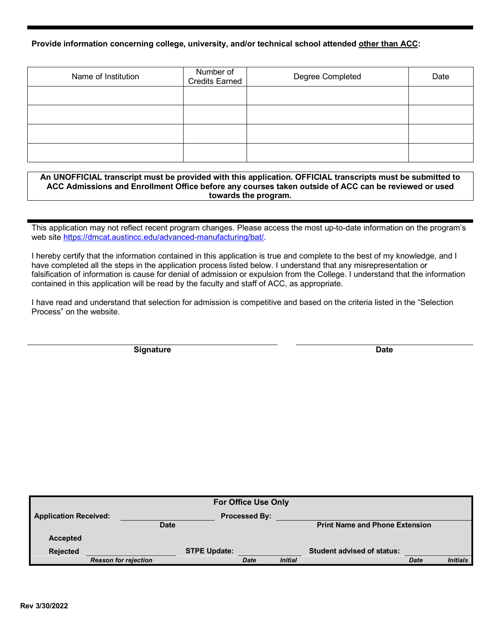### **Provide information concerning college, university, and/or technical school attended other than ACC:**

| Name of Institution | Number of<br>Credits Earned | Degree Completed | Date |  |
|---------------------|-----------------------------|------------------|------|--|
|                     |                             |                  |      |  |
|                     |                             |                  |      |  |
|                     |                             |                  |      |  |
|                     |                             |                  |      |  |

#### **An UNOFFICIAL transcript must be provided with this application. OFFICIAL transcripts must be submitted to ACC Admissions and Enrollment Office before any courses taken outside of ACC can be reviewed or used towards the program.**

This application may not reflect recent program changes. Please access the most up-to-date information on the program's web site https://dmcat.austincc.edu/advanced-manufacturing/bat/.

I hereby certify that the information contained in this application is true and complete to the best of my knowledge, and I have completed all the steps in the application process listed below. I understand that any misrepresentation or falsification of information is cause for denial of admission or expulsion from the College. I understand that the information contained in this application will be read by the faculty and staff of ACC, as appropriate.

I have read and understand that selection for admission is competitive and based on the criteria listed in the "Selection Process" on the website.

**Signature Date**

|                              |             | <b>For Office Use Only</b> |                |                                       |             |                 |
|------------------------------|-------------|----------------------------|----------------|---------------------------------------|-------------|-----------------|
| <b>Application Received:</b> |             | <b>Processed By:</b>       |                |                                       |             |                 |
|                              | <b>Date</b> |                            |                | <b>Print Name and Phone Extension</b> |             |                 |
| Accepted                     |             |                            |                |                                       |             |                 |
| <b>Rejected</b>              |             | <b>STPE Update:</b>        |                | <b>Student advised of status:</b>     |             |                 |
| <b>Reason for rejection</b>  |             | <b>Date</b>                | <b>Initial</b> |                                       | <b>Date</b> | <b>Initials</b> |